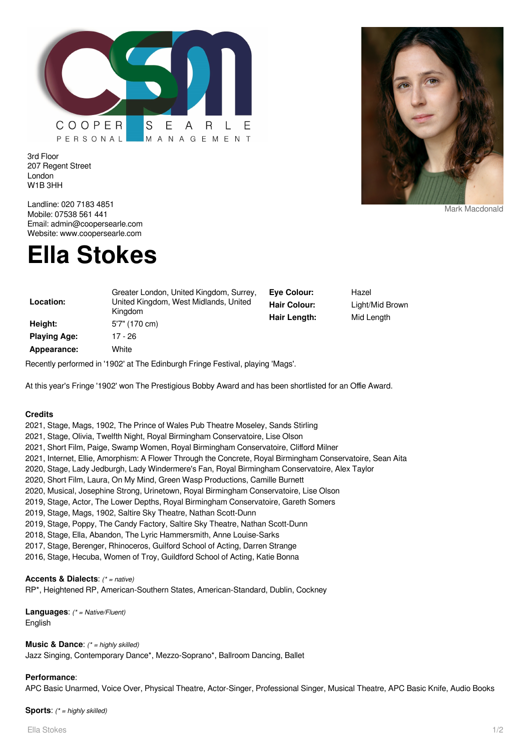

3rd Floor 207 Regent Street London W1B 3HH



#### Mark Macdonald

Landline: 020 7183 4851 Mobile: 07538 561 441 Email: admin@coopersearle.com Website: www.coopersearle.com

# **Ella Stokes**

| Location:           | Greater London, United Kingdom, Surrey,<br>United Kingdom, West Midlands, United<br>Kingdom | Eve Colour:<br><b>Hair Colour:</b><br>Hair Length: | Hazel<br>Light/Mid Brown<br>Mid Length |
|---------------------|---------------------------------------------------------------------------------------------|----------------------------------------------------|----------------------------------------|
| Height:             | 5'7" (170 cm)                                                                               |                                                    |                                        |
| <b>Playing Age:</b> | 17 - 26                                                                                     |                                                    |                                        |
| Appearance:         | White                                                                                       |                                                    |                                        |

Recently performed in '1902' at The Edinburgh Fringe Festival, playing 'Mags'.

At this year's Fringe '1902' won The Prestigious Bobby Award and has been shortlisted for an Offie Award.

## **Credits**

- 2021, Stage, Mags, 1902, The Prince of Wales Pub Theatre Moseley, Sands Stirling
- 2021, Stage, Olivia, Twelfth Night, Royal Birmingham Conservatoire, Lise Olson
- 2021, Short Film, Paige, Swamp Women, Royal Birmingham Conservatoire, Clifford Milner
- 2021, Internet, Ellie, Amorphism: A Flower Through the Concrete, Royal Birmingham Conservatoire, Sean Aita
- 2020, Stage, Lady Jedburgh, Lady Windermere's Fan, Royal Birmingham Conservatoire, Alex Taylor
- 2020, Short Film, Laura, On My Mind, Green Wasp Productions, Camille Burnett
- 2020, Musical, Josephine Strong, Urinetown, Royal Birmingham Conservatoire, Lise Olson
- 2019, Stage, Actor, The Lower Depths, Royal Birmingham Conservatoire, Gareth Somers
- 2019, Stage, Mags, 1902, Saltire Sky Theatre, Nathan Scott-Dunn
- 2019, Stage, Poppy, The Candy Factory, Saltire Sky Theatre, Nathan Scott-Dunn
- 2018, Stage, Ella, Abandon, The Lyric Hammersmith, Anne Louise-Sarks
- 2017, Stage, Berenger, Rhinoceros, Guilford School of Acting, Darren Strange
- 2016, Stage, Hecuba, Women of Troy, Guildford School of Acting, Katie Bonna

### **Accents & Dialects**: (\* = native)

RP\*, Heightened RP, American-Southern States, American-Standard, Dublin, Cockney

**Languages**: (\* = Native/Fluent) English

**Music & Dance:** (\* = highly skilled) Jazz Singing, Contemporary Dance\*, Mezzo-Soprano\*, Ballroom Dancing, Ballet

#### **Performance**:

APC Basic Unarmed, Voice Over, Physical Theatre, Actor-Singer, Professional Singer, Musical Theatre, APC Basic Knife, Audio Books

**Sports:** (\* = highly skilled)